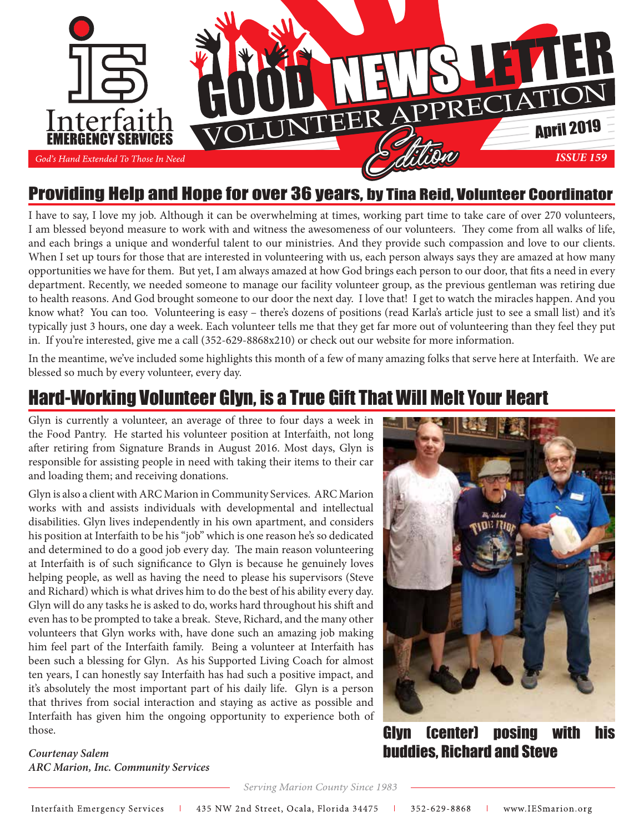

#### Providing Help and Hope for over 36 years, by Tina Reid, Volunteer Coordinator

I have to say, I love my job. Although it can be overwhelming at times, working part time to take care of over 270 volunteers, I am blessed beyond measure to work with and witness the awesomeness of our volunteers. They come from all walks of life, and each brings a unique and wonderful talent to our ministries. And they provide such compassion and love to our clients. When I set up tours for those that are interested in volunteering with us, each person always says they are amazed at how many opportunities we have for them. But yet, I am always amazed at how God brings each person to our door, that fits a need in every department. Recently, we needed someone to manage our facility volunteer group, as the previous gentleman was retiring due to health reasons. And God brought someone to our door the next day. I love that! I get to watch the miracles happen. And you know what? You can too. Volunteering is easy – there's dozens of positions (read Karla's article just to see a small list) and it's typically just 3 hours, one day a week. Each volunteer tells me that they get far more out of volunteering than they feel they put in. If you're interested, give me a call (352-629-8868x210) or check out our website for more information.

In the meantime, we've included some highlights this month of a few of many amazing folks that serve here at Interfaith. We are blessed so much by every volunteer, every day.

#### Hard-Working Volunteer Glyn, is a True Gift That Will Melt Your Heart

Glyn is currently a volunteer, an average of three to four days a week in the Food Pantry. He started his volunteer position at Interfaith, not long after retiring from Signature Brands in August 2016. Most days, Glyn is responsible for assisting people in need with taking their items to their car and loading them; and receiving donations.

Glyn is also a client with ARC Marion in Community Services. ARC Marion works with and assists individuals with developmental and intellectual disabilities. Glyn lives independently in his own apartment, and considers his position at Interfaith to be his "job" which is one reason he's so dedicated and determined to do a good job every day. The main reason volunteering at Interfaith is of such significance to Glyn is because he genuinely loves helping people, as well as having the need to please his supervisors (Steve and Richard) which is what drives him to do the best of his ability every day. Glyn will do any tasks he is asked to do, works hard throughout his shift and even has to be prompted to take a break. Steve, Richard, and the many other volunteers that Glyn works with, have done such an amazing job making him feel part of the Interfaith family. Being a volunteer at Interfaith has been such a blessing for Glyn. As his Supported Living Coach for almost ten years, I can honestly say Interfaith has had such a positive impact, and it's absolutely the most important part of his daily life. Glyn is a person that thrives from social interaction and staying as active as possible and Interfaith has given him the ongoing opportunity to experience both of those.

*Courtenay Salem ARC Marion, Inc. Community Services*



Glyn (center) posing with his buddies, Richard and Steve

Serving Marion County Since 1983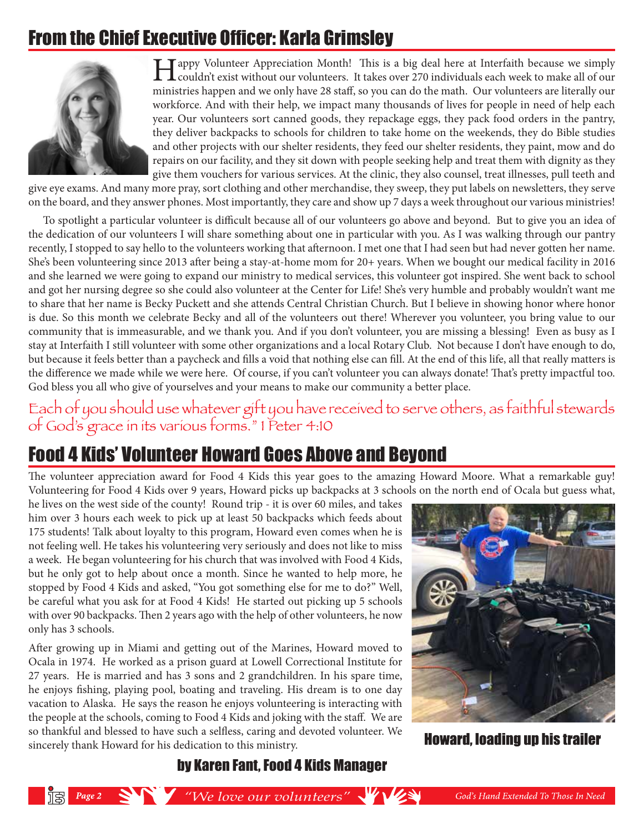# From the Chief Executive Officer: Karla Grimsley



**I Tappy Volunteer Appreciation Month!** This is a big deal here at Interfaith because we simply couldn't exist without our volunteers. It takes over 270 individuals each week to make all of our ministries happen and we only have 28 staff, so you can do the math. Our volunteers are literally our workforce. And with their help, we impact many thousands of lives for people in need of help each year. Our volunteers sort canned goods, they repackage eggs, they pack food orders in the pantry, they deliver backpacks to schools for children to take home on the weekends, they do Bible studies and other projects with our shelter residents, they feed our shelter residents, they paint, mow and do repairs on our facility, and they sit down with people seeking help and treat them with dignity as they give them vouchers for various services. At the clinic, they also counsel, treat illnesses, pull teeth and

give eye exams. And many more pray, sort clothing and other merchandise, they sweep, they put labels on newsletters, they serve on the board, and they answer phones. Most importantly, they care and show up 7 days a week throughout our various ministries!

 To spotlight a particular volunteer is difficult because all of our volunteers go above and beyond. But to give you an idea of the dedication of our volunteers I will share something about one in particular with you. As I was walking through our pantry recently, I stopped to say hello to the volunteers working that afternoon. I met one that I had seen but had never gotten her name. She's been volunteering since 2013 after being a stay-at-home mom for 20+ years. When we bought our medical facility in 2016 and she learned we were going to expand our ministry to medical services, this volunteer got inspired. She went back to school and got her nursing degree so she could also volunteer at the Center for Life! She's very humble and probably wouldn't want me to share that her name is Becky Puckett and she attends Central Christian Church. But I believe in showing honor where honor is due. So this month we celebrate Becky and all of the volunteers out there! Wherever you volunteer, you bring value to our community that is immeasurable, and we thank you. And if you don't volunteer, you are missing a blessing! Even as busy as I stay at Interfaith I still volunteer with some other organizations and a local Rotary Club. Not because I don't have enough to do, but because it feels better than a paycheck and fills a void that nothing else can fill. At the end of this life, all that really matters is the difference we made while we were here. Of course, if you can't volunteer you can always donate! That's pretty impactful too. God bless you all who give of yourselves and your means to make our community a better place.

## Each of you should also whatever ghit you have received to serve others, as faithful stewards of God's grace in its various forms." 1 Peter 4:10

# Food 4 Kids' Volunteer Howard Goes Above and Beyond

The volunteer appreciation award for Food 4 Kids this year goes to the amazing Howard Moore. What a remarkable guy! Volunteering for Food 4 Kids over 9 years, Howard picks up backpacks at 3 schools on the north end of Ocala but guess what,

he lives on the west side of the county! Round trip - it is over 60 miles, and takes him over 3 hours each week to pick up at least 50 backpacks which feeds about 175 students! Talk about loyalty to this program, Howard even comes when he is not feeling well. He takes his volunteering very seriously and does not like to miss a week. He began volunteering for his church that was involved with Food 4 Kids, but he only got to help about once a month. Since he wanted to help more, he stopped by Food 4 Kids and asked, "You got something else for me to do?" Well, be careful what you ask for at Food 4 Kids! He started out picking up 5 schools with over 90 backpacks. Then 2 years ago with the help of other volunteers, he now only has 3 schools.

After growing up in Miami and getting out of the Marines, Howard moved to Ocala in 1974. He worked as a prison guard at Lowell Correctional Institute for 27 years. He is married and has 3 sons and 2 grandchildren. In his spare time, he enjoys fishing, playing pool, boating and traveling. His dream is to one day vacation to Alaska. He says the reason he enjoys volunteering is interacting with the people at the schools, coming to Food 4 Kids and joking with the staff. We are so thankful and blessed to have such a selfless, caring and devoted volunteer. We sincerely thank Howard for his dedication to this ministry.



**Howard, loading up his trailer** 

#### by Karen Fant, Food 4 Kids Manager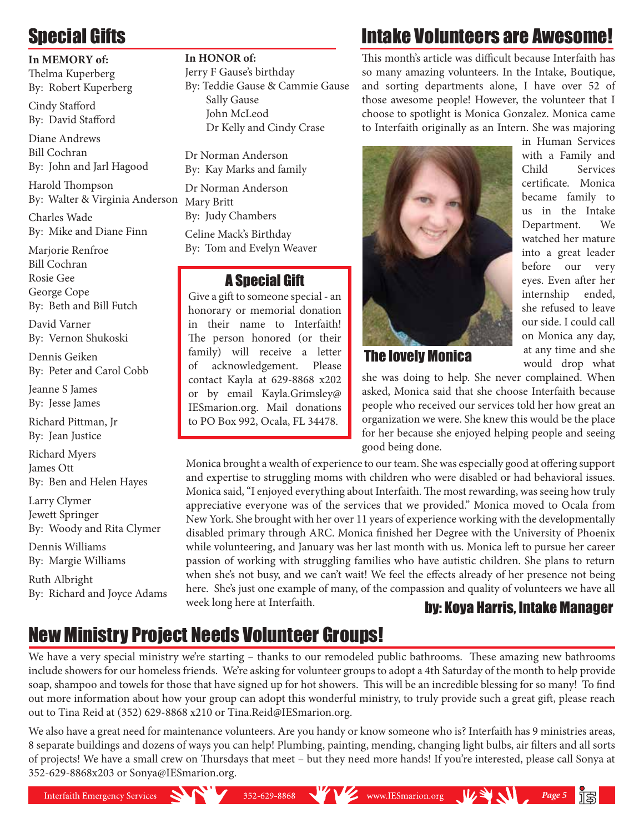# Special Gifts

#### **In MEMORY of:**

Thelma Kuperberg By: Robert Kuperberg

Cindy Stafford By: David Stafford

Diane Andrews Bill Cochran By: John and Jarl Hagood

Harold Thompson By: Walter & Virginia Anderson

Charles Wade By: Mike and Diane Finn

Marjorie Renfroe Bill Cochran Rosie Gee George Cope By: Beth and Bill Futch

David Varner By: Vernon Shukoski

Dennis Geiken By: Peter and Carol Cobb

Jeanne S James By: Jesse James

Richard Pittman, Jr By: Jean Justice

Richard Myers James Ott By: Ben and Helen Hayes

Larry Clymer Jewett Springer By: Woody and Rita Clymer Dennis Williams

By: Margie Williams Ruth Albright

By: Richard and Joyce Adams

 John McLeod Dr Kelly and Cindy Crase Dr Norman Anderson By: Kay Marks and family

By: Teddie Gause & Cammie Gause

Dr Norman Anderson Mary Britt By: Judy Chambers

**In HONOR of:** 

Jerry F Gause's birthday

Sally Gause

Celine Mack's Birthday By: Tom and Evelyn Weaver

#### A Special Gift

Give a gift to someone special - an honorary or memorial donation in their name to Interfaith! The person honored (or their family) will receive a letter of acknowledgement. Please contact Kayla at 629-8868 x202 or by email Kayla.Grimsley@ IESmarion.org. Mail donations to PO Box 992, Ocala, FL 34478.

# Intake Volunteers are Awesome!

This month's article was difficult because Interfaith has so many amazing volunteers. In the Intake, Boutique, and sorting departments alone, I have over 52 of those awesome people! However, the volunteer that I choose to spotlight is Monica Gonzalez. Monica came to Interfaith originally as an Intern. She was majoring



The lovely Monica

with a Family and Child Services certificate. Monica became family to us in the Intake Department. We watched her mature into a great leader before our very eyes. Even after her internship ended, she refused to leave our side. I could call on Monica any day, at any time and she would drop what

in Human Services

she was doing to help. She never complained. When asked, Monica said that she choose Interfaith because people who received our services told her how great an organization we were. She knew this would be the place for her because she enjoyed helping people and seeing good being done.

Monica brought a wealth of experience to our team. She was especially good at offering support and expertise to struggling moms with children who were disabled or had behavioral issues. Monica said, "I enjoyed everything about Interfaith. The most rewarding, was seeing how truly appreciative everyone was of the services that we provided." Monica moved to Ocala from New York. She brought with her over 11 years of experience working with the developmentally disabled primary through ARC. Monica finished her Degree with the University of Phoenix while volunteering, and January was her last month with us. Monica left to pursue her career passion of working with struggling families who have autistic children. She plans to return when she's not busy, and we can't wait! We feel the effects already of her presence not being here. She's just one example of many, of the compassion and quality of volunteers we have all week long here at Interfaith. **by: Koya Harris, Intake Manager** 

WE www.IESmarion.org WIND

*Page 5*

# New Ministry Project Needs Volunteer Groups!

We have a very special ministry we're starting – thanks to our remodeled public bathrooms. These amazing new bathrooms include showers for our homeless friends. We're asking for volunteer groups to adopt a 4th Saturday of the month to help provide soap, shampoo and towels for those that have signed up for hot showers. This will be an incredible blessing for so many! To find out more information about how your group can adopt this wonderful ministry, to truly provide such a great gift, please reach out to Tina Reid at (352) 629-8868 x210 or Tina.Reid@IESmarion.org.

We also have a great need for maintenance volunteers. Are you handy or know someone who is? Interfaith has 9 ministries areas, 8 separate buildings and dozens of ways you can help! Plumbing, painting, mending, changing light bulbs, air filters and all sorts of projects! We have a small crew on Thursdays that meet – but they need more hands! If you're interested, please call Sonya at 352-629-8868x203 or Sonya@IESmarion.org.

 $352 - 629 - 8868$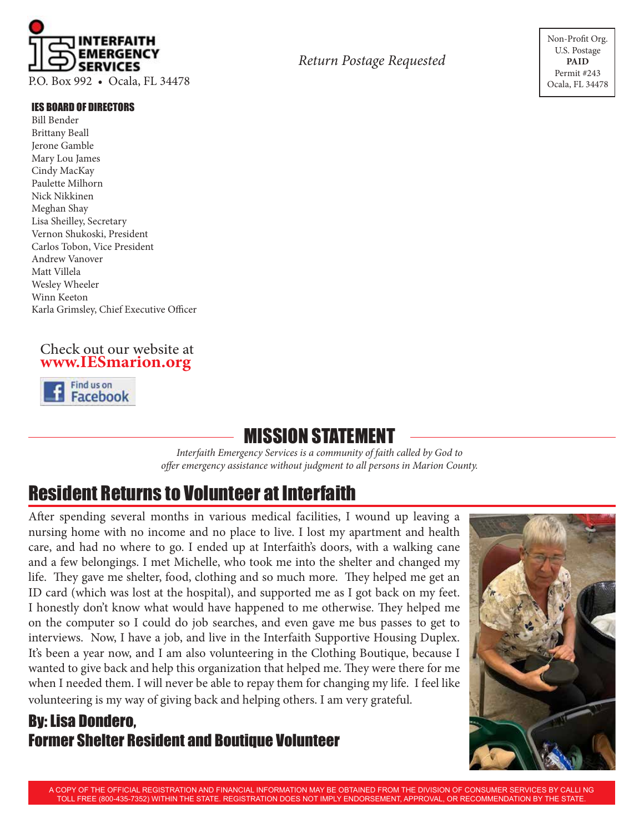

#### IES Board of Directors

Bill Bender Brittany Beall Jerone Gamble Mary Lou James Cindy MacKay Paulette Milhorn Nick Nikkinen Meghan Shay Lisa Sheilley, Secretary Vernon Shukoski, President Carlos Tobon, Vice President Andrew Vanover Matt Villela Wesley Wheeler Winn Keeton Karla Grimsley, Chief Executive Officer

#### Check out our website at **www.IESmarion.org**



#### MISSION STATEMENT

*Interfaith Emergency Services is a community of faith called by God to offer emergency assistance without judgment to all persons in Marion County.*

#### Resident Returns to Volunteer at Interfaith

After spending several months in various medical facilities, I wound up leaving a nursing home with no income and no place to live. I lost my apartment and health care, and had no where to go. I ended up at Interfaith's doors, with a walking cane and a few belongings. I met Michelle, who took me into the shelter and changed my life. They gave me shelter, food, clothing and so much more. They helped me get an ID card (which was lost at the hospital), and supported me as I got back on my feet. I honestly don't know what would have happened to me otherwise. They helped me on the computer so I could do job searches, and even gave me bus passes to get to interviews. Now, I have a job, and live in the Interfaith Supportive Housing Duplex. It's been a year now, and I am also volunteering in the Clothing Boutique, because I wanted to give back and help this organization that helped me. They were there for me when I needed them. I will never be able to repay them for changing my life. I feel like volunteering is my way of giving back and helping others. I am very grateful.

#### By: Lisa Dondero, Former Shelter Resident and Boutique Volunteer



A COPY OF THE OFFICIAL REGISTRATION AND FINANCIAL INFORMATION MAY BE OBTAINED FROM THE DIVISION OF CONSUMER SERVICES BY CALLI NG TOLL FREE (800-435-7352) WITHIN THE STATE. REGISTRATION DOES NOT IMPLY ENDORSEMENT, APPROVAL, OR RECOMMENDATION BY THE STATE.

*Return Postage Requested*

Non-Profit Org. U.S. Postage **Paid** Permit #243 Ocala, FL 34478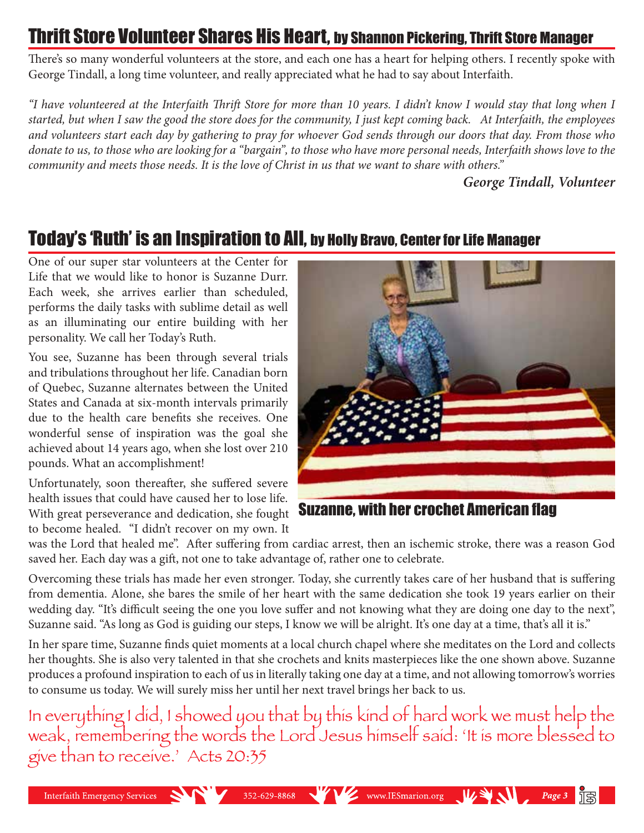### Thrift Store Volunteer Shares His Heart, by Shannon Pickering, Thrift Store Manager

There's so many wonderful volunteers at the store, and each one has a heart for helping others. I recently spoke with George Tindall, a long time volunteer, and really appreciated what he had to say about Interfaith.

*"I have volunteered at the Interfaith Thrift Store for more than 10 years. I didn't know I would stay that long when I started, but when I saw the good the store does for the community, I just kept coming back. At Interfaith, the employees and volunteers start each day by gathering to pray for whoever God sends through our doors that day. From those who donate to us, to those who are looking for a "bargain", to those who have more personal needs, Interfaith shows love to the community and meets those needs. It is the love of Christ in us that we want to share with others."* 

*George Tindall, Volunteer*

# Today's 'Ruth' is an Inspiration to All, by Holly Bravo, Center for Life Manager

One of our super star volunteers at the Center for Life that we would like to honor is Suzanne Durr. Each week, she arrives earlier than scheduled, performs the daily tasks with sublime detail as well as an illuminating our entire building with her personality. We call her Today's Ruth.

You see, Suzanne has been through several trials and tribulations throughout her life. Canadian born of Quebec, Suzanne alternates between the United States and Canada at six-month intervals primarily due to the health care benefits she receives. One wonderful sense of inspiration was the goal she achieved about 14 years ago, when she lost over 210 pounds. What an accomplishment!

Unfortunately, soon thereafter, she suffered severe health issues that could have caused her to lose life. With great perseverance and dedication, she fought to become healed. "I didn't recover on my own. It



Suzanne, with her crochet American flag

was the Lord that healed me". After suffering from cardiac arrest, then an ischemic stroke, there was a reason God saved her. Each day was a gift, not one to take advantage of, rather one to celebrate.

Overcoming these trials has made her even stronger. Today, she currently takes care of her husband that is suffering from dementia. Alone, she bares the smile of her heart with the same dedication she took 19 years earlier on their wedding day. "It's difficult seeing the one you love suffer and not knowing what they are doing one day to the next", Suzanne said. "As long as God is guiding our steps, I know we will be alright. It's one day at a time, that's all it is."

In her spare time, Suzanne finds quiet moments at a local church chapel where she meditates on the Lord and collects her thoughts. She is also very talented in that she crochets and knits masterpieces like the one shown above. Suzanne produces a profound inspiration to each of us in literally taking one day at a time, and not allowing tomorrow's worries to consume us today. We will surely miss her until her next travel brings her back to us.

In everything I did, I showed you that by this kind of hard work we must help the weak, remembering the words the Lord Jesus himself said: This more blessed to give than to receive.' Acts 20:35